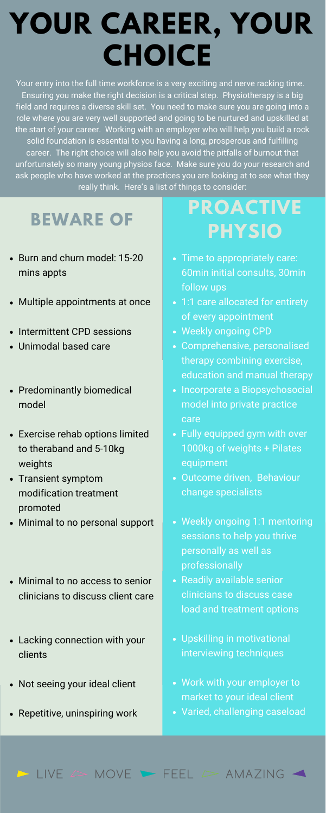Your entry into the full time workforce is a very exciting and nerve racking time. Ensuring you make the right decision is a critical step. Physiotherapy is a big field and requires a diverse skill set. You need to make sure you are going into a role where you are very well supported and going to be nurtured and upskilled at the start of your career. Working with an employer who will help you build a rock solid foundation is essential to you having a long, prosperous and fulfilling career. The right choice will also help you avoid the pitfalls of burnout that unfortunately so many young physios face. Make sure you do your research and ask people who have worked at the practices you are looking at to see what they really think. Here's a list of things to consider:

- Burn and churn model: 15-20 mins appts
- Multiple appointments at once
- Intermittent CPD sessions
- Unimodal based care
- Predominantly biomedical model
- Exercise rehab options limited to theraband and 5-10kg weights
- Transient symptom

#### **BEWARE OF**

- change specialists
- Weekly ongoing 1:1 mentoring sessions to help you thrive personally as well as professionally
- Readily available senior clinicians to discuss case load and treatment options
- Upskilling in motivational interviewing techniques
- Work with your employer to market to your ideal client
- Varied, challenging caseload

#### $\sim$  LIVE  $\sim$  MOVE  $\sim$  FEEL  $\sim$  AMAZING

### **PROACTIVE PHYSIO**

- Time to appropriately care: 60min initial consults, 30min follow ups
- 1:1 care allocated for entirety of every appointment
- Weekly ongoing CPD
- Comprehensive, personalised therapy combining exercise, education and manual therapy
- Incorporate a Biopsychosocial model into private practice care
- Fully equipped gym with over 1000kg of weights + Pilates equipment
- Outcome driven, Behaviour
- modification treatment promoted
- Minimal to no personal support
- Minimal to no access to senior clinicians to discuss client care
- Lacking connection with your clients
- Not seeing your ideal client
- Repetitive, uninspiring work

## **YOUR CAREER, YOUR CHOICE**